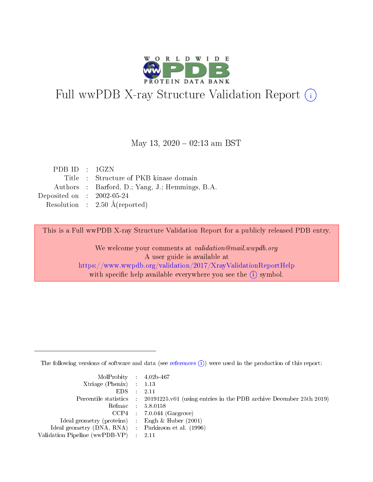

# Full wwPDB X-ray Structure Validation Report (i)

#### May 13,  $2020 - 02:13$  am BST

| PDB ID : 1GZN               |                                                 |
|-----------------------------|-------------------------------------------------|
|                             | Title : Structure of PKB kinase domain          |
|                             | Authors : Barford, D.; Yang, J.; Hemmings, B.A. |
| Deposited on : $2002-05-24$ |                                                 |
|                             | Resolution : $2.50 \text{ Å}$ (reported)        |

This is a Full wwPDB X-ray Structure Validation Report for a publicly released PDB entry.

We welcome your comments at validation@mail.wwpdb.org A user guide is available at <https://www.wwpdb.org/validation/2017/XrayValidationReportHelp> with specific help available everywhere you see the  $(i)$  symbol.

The following versions of software and data (see [references](https://www.wwpdb.org/validation/2017/XrayValidationReportHelp#references)  $(i)$ ) were used in the production of this report:

| MolProbity : $4.02b-467$                            |                                                                                            |
|-----------------------------------------------------|--------------------------------------------------------------------------------------------|
| Xtriage (Phenix) $: 1.13$                           |                                                                                            |
| EDS -                                               | 2.11                                                                                       |
|                                                     | Percentile statistics : 20191225.v01 (using entries in the PDB archive December 25th 2019) |
|                                                     | Refmac 58.0158                                                                             |
|                                                     | $CCP4$ 7.0.044 (Gargrove)                                                                  |
| Ideal geometry (proteins) : Engh $\&$ Huber (2001)  |                                                                                            |
| Ideal geometry (DNA, RNA) : Parkinson et al. (1996) |                                                                                            |
| Validation Pipeline (wwPDB-VP)                      | -2.11                                                                                      |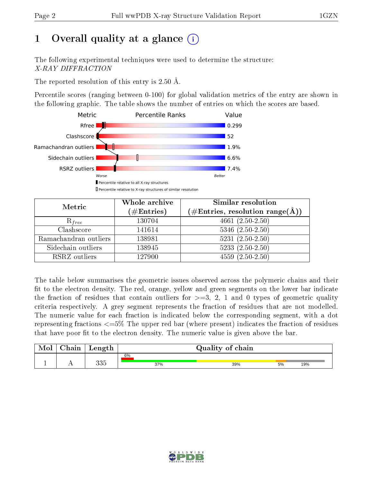# 1 [O](https://www.wwpdb.org/validation/2017/XrayValidationReportHelp#overall_quality)verall quality at a glance  $(i)$

The following experimental techniques were used to determine the structure: X-RAY DIFFRACTION

The reported resolution of this entry is 2.50 Å.

Percentile scores (ranging between 0-100) for global validation metrics of the entry are shown in the following graphic. The table shows the number of entries on which the scores are based.



| Metric                | Whole archive<br>$(\#\mathrm{Entries})$ | Similar resolution<br>$(\#\text{Entries},\, \text{resolution}\; \text{range}(\textup{\AA}))$ |
|-----------------------|-----------------------------------------|----------------------------------------------------------------------------------------------|
| $R_{free}$            | 130704                                  | $4661 (2.50 - 2.50)$                                                                         |
| Clashscore            | 141614                                  | $5346$ $(2.50-2.50)$                                                                         |
| Ramachandran outliers | 138981                                  | $5231 (2.50 - 2.50)$                                                                         |
| Sidechain outliers    | 138945                                  | $5233(2.50-2.50)$                                                                            |
| RSRZ outliers         | 127900                                  | $4559(2.50-2.50)$                                                                            |

The table below summarises the geometric issues observed across the polymeric chains and their fit to the electron density. The red, orange, yellow and green segments on the lower bar indicate the fraction of residues that contain outliers for  $>=3, 2, 1$  and 0 types of geometric quality criteria respectively. A grey segment represents the fraction of residues that are not modelled. The numeric value for each fraction is indicated below the corresponding segment, with a dot representing fractions <=5% The upper red bar (where present) indicates the fraction of residues that have poor fit to the electron density. The numeric value is given above the bar.

| Mol       | $\sim$ 1<br>hain | Length     |     | Quality of chain |    |     |
|-----------|------------------|------------|-----|------------------|----|-----|
|           |                  |            | 6%  |                  |    |     |
| <u>д.</u> | . .              | 99E<br>ບບປ | 37% | 39%              | 5% | 19% |

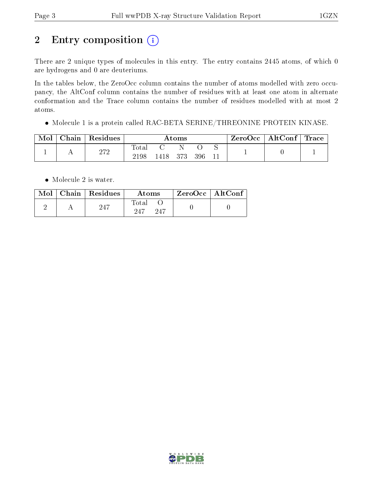# 2 Entry composition (i)

There are 2 unique types of molecules in this entry. The entry contains 2445 atoms, of which 0 are hydrogens and 0 are deuteriums.

In the tables below, the ZeroOcc column contains the number of atoms modelled with zero occupancy, the AltConf column contains the number of residues with at least one atom in alternate conformation and the Trace column contains the number of residues modelled with at most 2 atoms.

Molecule 1 is a protein called RAC-BETA SERINE/THREONINE PROTEIN KINASE.

| Mol | Chain | Residues | Atoms         |        |     | ZeroOcc | $\mid$ AltConf $\mid$ Trace |  |  |  |
|-----|-------|----------|---------------|--------|-----|---------|-----------------------------|--|--|--|
|     |       | 272      | Tota.<br>2198 | 1418 - | 373 | 396     |                             |  |  |  |

• Molecule 2 is water.

|  | $Mol$   Chain   Residues | Atoms               | $\mid$ ZeroOcc $\mid$ AltConf $\mid$ |  |
|--|--------------------------|---------------------|--------------------------------------|--|
|  | 247                      | Total<br>247<br>947 |                                      |  |

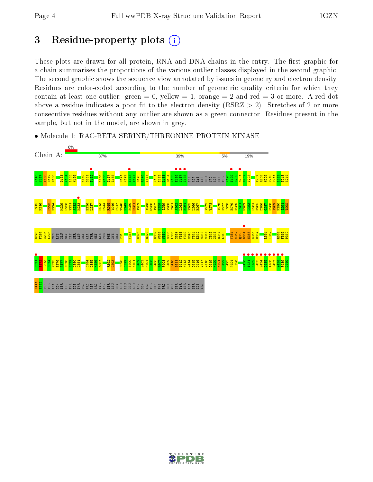## 3 Residue-property plots  $(i)$

These plots are drawn for all protein, RNA and DNA chains in the entry. The first graphic for a chain summarises the proportions of the various outlier classes displayed in the second graphic. The second graphic shows the sequence view annotated by issues in geometry and electron density. Residues are color-coded according to the number of geometric quality criteria for which they contain at least one outlier: green  $= 0$ , yellow  $= 1$ , orange  $= 2$  and red  $= 3$  or more. A red dot above a residue indicates a poor fit to the electron density (RSRZ  $> 2$ ). Stretches of 2 or more consecutive residues without any outlier are shown as a green connector. Residues present in the sample, but not in the model, are shown in grey.



• Molecule 1: RAC-BETA SERINE/THREONINE PROTEIN KINASE

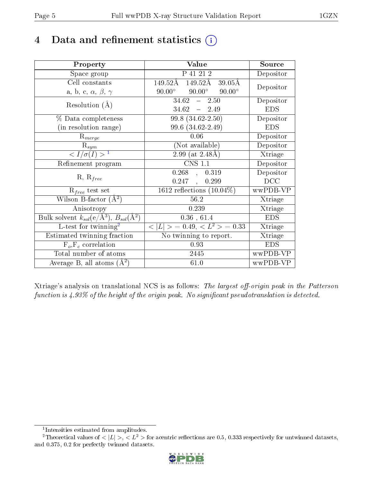## 4 Data and refinement statistics  $(i)$

| Property                                                                | Value                                             | Source     |
|-------------------------------------------------------------------------|---------------------------------------------------|------------|
| Space group                                                             | P 41 21 2                                         | Depositor  |
| Cell constants                                                          | 149.52Å<br>149.52Å<br>$39.05\text{\AA}$           |            |
| a, b, c, $\alpha$ , $\beta$ , $\gamma$                                  | $90.00^\circ$<br>$90.00^{\circ}$<br>$90.00^\circ$ | Depositor  |
| Resolution $(A)$                                                        | $34.62 - 2.50$                                    | Depositor  |
|                                                                         | $34.62 - 2.49$                                    | <b>EDS</b> |
| % Data completeness                                                     | 99.8 (34.62-2.50)                                 | Depositor  |
| (in resolution range)                                                   | 99.6 (34.62-2.49)                                 | <b>EDS</b> |
| $R_{merge}$                                                             | 0.06                                              | Depositor  |
| $\mathrm{R}_{sym}$                                                      | (Not available)                                   | Depositor  |
| $\langle I/\sigma(I) \rangle^{-1}$                                      | 2.99 (at $2.48\text{\AA}$ )                       | Xtriage    |
| Refinement program                                                      | <b>CNS 1.1</b>                                    | Depositor  |
|                                                                         | $0.268$ , $0.319$                                 | Depositor  |
| $R, R_{free}$                                                           | 0.247,<br>0.299                                   | DCC        |
| $\mathcal{R}_{free}$ test set                                           | $1612$ reflections $(10.04\%)$                    | wwPDB-VP   |
| Wilson B-factor $(A^2)$                                                 | 56.2                                              | Xtriage    |
| Anisotropy                                                              | 0.239                                             | Xtriage    |
| Bulk solvent $k_{sol}(\mathrm{e}/\mathrm{A}^3),\,B_{sol}(\mathrm{A}^2)$ | 0.36, 61.4                                        | <b>EDS</b> |
| L-test for twinning <sup>2</sup>                                        | $< L >$ = 0.49, $< L2$ = 0.33                     | Xtriage    |
| Estimated twinning fraction                                             | No twinning to report.                            | Xtriage    |
| $F_o, F_c$ correlation                                                  | 0.93                                              | <b>EDS</b> |
| Total number of atoms                                                   | 2445                                              | wwPDB-VP   |
| Average B, all atoms $(A^2)$                                            | 61.0                                              | wwPDB-VP   |

Xtriage's analysis on translational NCS is as follows: The largest off-origin peak in the Patterson function is  $4.93\%$  of the height of the origin peak. No significant pseudotranslation is detected.

<sup>&</sup>lt;sup>2</sup>Theoretical values of  $\langle |L| \rangle$ ,  $\langle L^2 \rangle$  for acentric reflections are 0.5, 0.333 respectively for untwinned datasets, and 0.375, 0.2 for perfectly twinned datasets.



<span id="page-4-1"></span><span id="page-4-0"></span><sup>1</sup> Intensities estimated from amplitudes.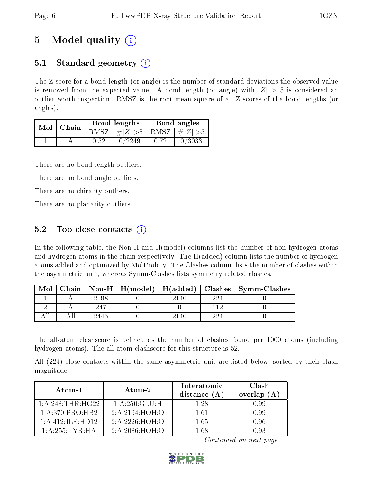# 5 Model quality  $(i)$

## 5.1 Standard geometry  $\overline{()}$

The Z score for a bond length (or angle) is the number of standard deviations the observed value is removed from the expected value. A bond length (or angle) with  $|Z| > 5$  is considered an outlier worth inspection. RMSZ is the root-mean-square of all Z scores of the bond lengths (or angles).

| Mol   Chain |  |      | Bond lengths                    | Bond angles |        |
|-------------|--|------|---------------------------------|-------------|--------|
|             |  |      | RMSZ $ #Z  > 5$ RMSZ $ #Z  > 5$ |             |        |
|             |  | 0.52 | 0/2249                          | 0.72        | 0/3033 |

There are no bond length outliers.

There are no bond angle outliers.

There are no chirality outliers.

There are no planarity outliers.

## 5.2 Too-close contacts  $\overline{()}$

In the following table, the Non-H and H(model) columns list the number of non-hydrogen atoms and hydrogen atoms in the chain respectively. The H(added) column lists the number of hydrogen atoms added and optimized by MolProbity. The Clashes column lists the number of clashes within the asymmetric unit, whereas Symm-Clashes lists symmetry related clashes.

| Mol |      |      |     | Chain   Non-H   H(model)   H(added)   Clashes   Symm-Clashes |
|-----|------|------|-----|--------------------------------------------------------------|
|     | 2198 | 2140 | 224 |                                                              |
|     | 247  |      |     |                                                              |
|     | 2445 | 2140 | 994 |                                                              |

The all-atom clashscore is defined as the number of clashes found per 1000 atoms (including hydrogen atoms). The all-atom clashscore for this structure is 52.

All (224) close contacts within the same asymmetric unit are listed below, sorted by their clash magnitude.

| Atom-1              | $\boldsymbol{\mathrm{Atom}\text{-}2}$ | Interatomic<br>distance (A | <b>Clash</b><br>overlap $(A)$ |
|---------------------|---------------------------------------|----------------------------|-------------------------------|
| 1: A:248:THR:HG22   | 1: A:250: GLU: H                      | 1 28                       | 0.99                          |
| 1: A:370: PRO:HB2   | 2:A:2194:HOH:O                        | 1 61                       | 0.99                          |
| $1:$ A:412:ILE:HD12 | 2:A:2226:HOH:O                        | 1 65                       | 0.96                          |
| 1: A:255:TYR:HA     | 2:A:2086:HOH:O                        | 1 68                       | N 93                          |

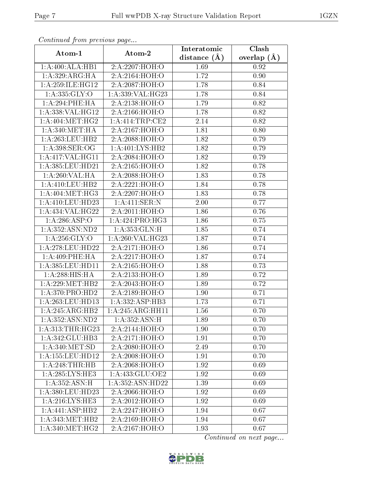| Commuca from previous page |                                         | Interatomic    | Clash         |
|----------------------------|-----------------------------------------|----------------|---------------|
| Atom-1                     | Atom-2                                  | distance $(A)$ | overlap $(A)$ |
| 1:A:400:ALA:HB1            | 2:A:2207:HOH:O                          | 1.69           | 0.92          |
| 1: A:329: ARG:HA           | 2:A:2164:HOH:O                          | 1.72           | 0.90          |
| 1: A:259: ILE: HG12        | 2:A:2087:HOH:O                          | 1.78           | 0.84          |
| 1: A: 335: GLY: O          | 1:A:339:VAL:HG23                        | 1.78           | 0.84          |
| 1: A:294:PHE:HA            | 2:A:2138:HOH:O                          | 1.79           | 0.82          |
| 1:A:338: VAL: HG12         | 2:A:2166:HOH:O                          | 1.78           | 0.82          |
| 1: A:404: MET:HG2          | $1: A: 414: \text{TRP:CE2}$             | 2.14           | 0.82          |
| 1: A:340:MET:HA            | 2:A:2167:HOH:O                          | 1.81           | 0.80          |
| 1: A:263:LEU:HB2           | 2: A:2088:HOH:O                         | 1.82           | 0.79          |
| 1: A:398: SER:OG           | 1: A:401: LYS:HB2                       | 1.82           | 0.79          |
| 1:A:417:VAL:HG11           | 2:A:2084:HOH:O                          | 1.82           | 0.79          |
| 1:A:385:LEU:HD21           | 2:A:2165:HOH:O                          | 1.82           | 0.78          |
| 1:A:260:VAL:HA             | 2:A:2088:HOH:O                          | 1.83           | 0.78          |
| 1: A: 410: LEU: HB2        | 2:A:2221:HOH:O                          | 1.84           | 0.78          |
| 1: A:404:MET:HG3           | 2:A:2207:HOH:O                          | 1.83           | 0.78          |
| $1: A:410:$ LEU:HD23       | $1:A:411:\overline{\text{SER}:N}$       | 2.00           | 0.77          |
| 1:A:434:VAL:HG22           | 2:A:2011:HOH:O                          | 1.86           | 0.76          |
| 1:A:286:ASP:O              | 1:A:424:PRO:HG3                         | 1.86           | 0.75          |
| 1:A:352:ASN:ND2            | 1:A:353:GLN:H                           | 1.85           | 0.74          |
| 1:A:256:GLY:O              | 1:A:260:VAL:HG23                        | 1.87           | 0.74          |
| 1:A:278:LEU:HD22           | 2:A:2171:HOH:O                          | 1.86           | 0.74          |
| 1: A:409: PHE: HA          | 2:A:2217:HOH:O                          | 1.87           | 0.74          |
| 1:A:385:LEU:HD11           | 2:A:2165:HOH:O                          | 1.88           | 0.73          |
| 1: A:288:HIS:HA            | 2: A:2133:HOH:O                         | 1.89           | 0.72          |
| 1: A:229: MET:HB2          | 2:A:2043:HOH:O                          | 1.89           | 0.72          |
| 1: A:370: PRO:HD2          | 2:A:2189:HOH:O                          | 1.90           | 0.71          |
| 1: A:263:LEU:HD13          | 1:A:332:ASP:HB3                         | 1.73           | 0.71          |
| 1:A:245:ARG:HB2            | 1:A:245:ARG:HH11                        | 1.56           | 0.70          |
| 1: A: 352: ASN: ND2        | 1: A:352: ASN:H                         | 1.89           | 0.70          |
| 1: A: 313: THR: HG23       | 2:A:2144:HOH:O                          | 1.90           | 0.70          |
| 1:A:342:GLU:HB3            | 2:A:2171:H <sub>0</sub> H <sub>:0</sub> | 1.91           | 0.70          |
| 1: A:340:MET:SD            | 2:A:2080:HOH:O                          | 2.49           | 0.70          |
| 1: A: 155: LEU: HD12       | 2:A:2008:HOH:O                          | 1.91           | 0.70          |
| 1:A:248:THR:HB             | 2:A:2068:HOH:O                          | 1.92           | 0.69          |
| 1: A:285:LYS:HE3           | 1: A: 433: GLU: OE2                     | 1.92           | 0.69          |
| 1:A:352:ASN:H              | 1:A:352:ASN:HD22                        | 1.39           | 0.69          |
| 1:A:380:LEU:HD23           | 2:A:2066:HOH:O                          | 1.92           | 0.69          |
| 1: A:216: LYS: HE3         | 2:A:2012:HOH:O                          | 1.92           | 0.69          |
| 1:A:441:ASP:HB2            | 2:A:2247:HOH:O                          | 1.94           | 0.67          |
| 1: A:343:MET:HB2           | 2:A:2169:HOH:O                          | 1.94           | 0.67          |
| 1: A:340:MET:HG2           | 2:A:2167:HOH:O                          | 1.93           | 0.67          |

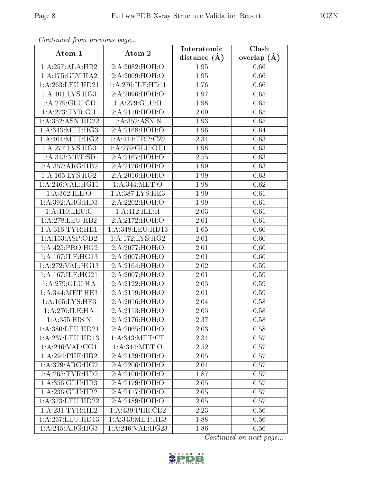| Communica from precious page         |                     | Interatomic    | Clash           |
|--------------------------------------|---------------------|----------------|-----------------|
| Atom-1                               | Atom-2              | distance $(A)$ | overlap $(\AA)$ |
| 1:A:257:ALA:HB2                      | 2:A:2082:HOH:O      | 1.95           | 0.66            |
| 1:A:175:GLY:HA2                      | 2:A:2009:HOH:O      | 1.95           | 0.66            |
| $1:\overline{A}:263:\text{LEU}:HD21$ | 1: A:276: ILE: HDI1 | 1.76           | 0.66            |
| 1: A:401:LYS:HG3                     | 2:A:2096:HOH:O      | 1.97           | 0.65            |
| 1:A:279:GLU:CD                       | 1:A:279:GLU:H       | 1.98           | 0.65            |
| 1: A:273:TYR:OH                      | 2:A:2110:HOH:O      | 2.09           | 0.65            |
| 1:A:352:ASN:HD22                     | 1: A: 352: ASN: N   | 1.93           | 0.65            |
| 1: A:343:MET:HG3                     | 2:A:2168:HOH:O      | 1.96           | 0.64            |
| 1: A:404: MET:HG2                    | 1:A:414:TRP:CZ2     | 2.34           | 0.63            |
| 1: A:277: LYS: HG3                   | 1: A:279: GLU:OE1   | 1.98           | 0.63            |
| 1: A:343:MET:SD                      | 2:A:2167:HOH:O      | 2.55           | 0.63            |
| 1:A:357:ARG:HB2                      | 2:A:2176:HOH:O      | 1.99           | 0.63            |
| 1: A: 165: LYS: HG2                  | 2:A:2016:HOH:O      | 1.99           | 0.63            |
| 1:A:246:VAL:HG11                     | 1: A:344: MET:O     | 1.98           | 0.62            |
| 1:A:362:ILE:O                        | 1:A:387:LYS:HE3     | 1.99           | 0.61            |
| 1:A:392:ARG:HD3                      | 2:A:2202:HOH:O      | 1.99           | 0.61            |
| 1:A:410:LEU:C                        | 1: A:412: ILE:H     | 2.03           | 0.61            |
| 1: A:278:LEU:HB2                     | 2:A:2172:HOH:O      | 2.01           | 0.61            |
| 1: A:316:TYR:HE1                     | 1:A:348:LEU:HD13    | 1.65           | 0.60            |
| 1:A:153:ASP:OD2                      | 1: A:172: LYS: HG2  | $2.01\,$       | 0.60            |
| 1: A:425: PRO:HG2                    | 2:A:2077:HOH:O      | 2.01           | 0.60            |
| 1: A:167: ILE:HG13                   | 2:A:2007:HOH:O      | $2.01\,$       | 0.60            |
| 1: A:272: VAL:HG13                   | 2:A:2164:HOH:O      | 2.02           | 0.59            |
| 1:A:167:ILE:HG21                     | 2:A:2007:HOH:O      | 2.01           | 0.59            |
| 1:A:279:GLU:HA                       | 2:A:2122:HOH:O      | 2.03           | 0.59            |
| 1: A:344:MET:HE3                     | 2:A:2119:HOH:O      | 2.01           | 0.59            |
| 1: A: 165: LYS: HE3                  | 2:A:2016:HOH:O      | 2.04           | 0.58            |
| 1:A:276:ILE:HA                       | 2:A:2113:HOH:O      | 2.03           | 0.58            |
| 1: A: 355: HIS:N                     | 2:A:2176:HOH:O      | 2.37           | 0.58            |
| 1:A:380:LEU:HD21                     | 2:A:2065:HOH:O      | 2.03           | 0.58            |
| 1:A:237:LEU:HD13                     | 1: A:343:MET:CE     | 2.34           | 0.57            |
| 1: A:246: VAL:CG1                    | 1: A:344: MET:O     | 2.52           | 0.57            |
| 1: A:294:PHE:HB2                     | 2:A:2139:HOH:O      | 2.05           | 0.57            |
| 1:A:329:ARG:HG2                      | 2:A:2206:HOH:O      | 2.04           | 0.57            |
| 1: A:265:TYR:HD2                     | 2:A:2100:HOH:O      | 1.87           | 0.57            |
| 1:A:356:GLU:HB3                      | 2:A:2179:HOH:O      | 2.05           | 0.57            |
| 1:A:236:GLU:HB2                      | 2:A:2117:HOH:O      | 2.05           | 0.57            |
| 1:A:373:LEU:HD22                     | 2:A:2189:HOH:O      | 2.05           | 0.57            |
| 1: A:231:TYR:HE2                     | $1: A:439:$ PHE:CE2 | 2.23           | 0.56            |
| 1:A:237:LEU:HD13                     | 1: A: 343:MET:HE3   | 1.88           | 0.56            |
| $1:A:245:AR\overline{G:HG3}$         | 1:A:246:VAL:HG23    | 1.86           | 0.56            |

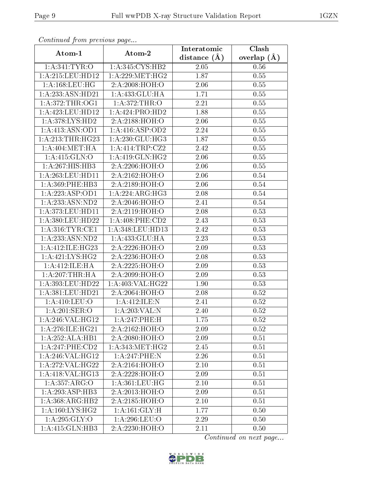| Continueu from previous page |                     | Interatomic       | Clash           |
|------------------------------|---------------------|-------------------|-----------------|
| Atom-1                       | Atom-2              | distance $(A)$    | overlap $(\AA)$ |
| 1: A:341: TYR:O              | 1: A:345: CYS:HB2   | 2.05              | 0.56            |
| 1: A:215:LEU:HD12            | 1: A:229: MET:HG2   | $\overline{1.87}$ | 0.55            |
| $1: A: 168:$ LEU:HG          | 2:A:2008:HOH:O      | 2.06              | 0.55            |
| 1:A:233:ASN:HD21             | 1:A:433:GLU:HA      | 1.71              | 0.55            |
| 1: A:372:THR:OG1             | 1:A:372:THR:O       | 2.21              | 0.55            |
| 1: A:423: LEU: HD12          | 1:A:424:PRO:HD2     | 1.88              | 0.55            |
| 1: A:378: LYS: HD2           | 2:A:2188:HOH:O      | 2.06              | 0.55            |
| 1:A:413:ASN:OD1              | 1: A:416: ASP:OD2   | 2.24              | 0.55            |
| 1:A:213:THR:HG23             | 1:A:230:GLU:HG3     | 1.87              | 0.55            |
| 1: A:404: MET:HA             | 1: A:414:TRP: CZ2   | 2.42              | 0.55            |
| 1: A:415: GLN:O              | 1:A:419:GLN:HG2     | 2.06              | 0.55            |
| 1:A:267:HIS:HB3              | 2:A:2206:HOH:O      | 2.06              | 0.55            |
| 1: A:263:LEU:HD11            | 2:A:2162:HOH:O      | 2.06              | 0.54            |
| $1: A:369:$ PHE:HB3          | 2:A:2189:HOH:O      | 2.06              | 0.54            |
| 1:A:223:ASP:OD1              | 1:A:224:ARG:HG3     | 2.08              | 0.54            |
| 1: A: 233: ASN: ND2          | 2:A:2046:HOH:O      | 2.41              | 0.54            |
| 1: A:373:LEU:HD11            | 2:A:2119:HOH:O      | 2.08              | 0.53            |
| 1:A:380:LEU:HD22             | $1: A:408:$ PHE:CD2 | 2.43              | 0.53            |
| 1: A:316: TYR: CE1           | 1:A:348:LEU:HD13    | 2.42              | 0.53            |
| 1: A: 233: ASN: ND2          | 1: A: 433: GLU: HA  | 2.23              | 0.53            |
| 1: A:412: ILE: HG23          | 2:A:2226:HOH:O      | 2.09              | 0.53            |
| 1: A: 421: LYS: HG2          | 2:A:2236:HOH:O      | 2.08              | 0.53            |
| 1: A:412: ILE: HA            | 2:A:2225:HOH:O      | 2.09              | 0.53            |
| 1: A:207:THR:HA              | 2:A:2099:HOH:O      | 2.09              | 0.53            |
| 1:A:393:LEU:HD22             | 1:A:403:VAL:HG22    | 1.90              | 0.53            |
| 1:A:381:LEU:HD21             | 2:A:2064:HOH:O      | 2.08              | 0.52            |
| $1:$ A:410:LEU: $O$          | 1:A:412:ILE:N       | 2.41              | 0.52            |
| 1: A:201:SER:O               | 1:A:203:VAL:N       | 2.40              | 0.52            |
| 1:A:246:VAL:HG12             | 1:A:247:PHE:H       | 1.75              | 0.52            |
| 1: A:276: ILE: HG21          | 2:A:2162:HOH:O      | 2.09              | 0.52            |
| 1:A:252:ALA:HB1              | 2:A:2080:HOH:O      | 2.09              | 0.51            |
| 1:A:247:PHE:CD2              | 1: A: 343:MET:HG2   | 2.45              | 0.51            |
| 1: A:246: VAL:HG12           | 1:A:247:PHE:N       | 2.26              | 0.51            |
| 1:A:272:VAL:HG22             | 2:A:2164:HOH:O      | 2.10              | 0.51            |
| 1:A:418:VAL:HG13             | 2:A:2228:HOH:O      | 2.09              | 0.51            |
| 1:A:357:ARG:O                | 1: A:361:LEU:HG     | 2.10              | 0.51            |
| 1:A:293:ASP:HB3              | 2:A:2013:HOH:O      | 2.09              | 0.51            |
| $1:A:368:ARG:\overline{HB2}$ | 2:A:2185:HOH:O      | 2.10              | 0.51            |
| 1: A: 160: LYS: HG2          | 1:A:161:GLY:H       | 1.77              | 0.50            |
| 1: A:295: GLY:O              | 1: A:296:LEU:O      | 2.29              | 0.50            |
| 1:A:415:GLN:HB3              | 2:A:2230:HOH:O      | 2.11              | 0.50            |

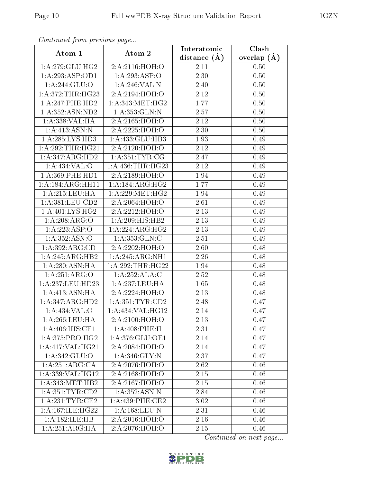| Continuea from previous page    |                     | Interatomic       | Clash           |
|---------------------------------|---------------------|-------------------|-----------------|
| Atom-1                          | Atom-2              | distance $(A)$    | overlap $(\AA)$ |
| 1:A:279:GLU:HG2                 | 2:A:2116:HOH:O      | 2.11              | 0.50            |
| 1:A:293:ASP:OD1                 | 1:A:293:ASP:O       | $\overline{2}.30$ | 0.50            |
| 1:A:244:GLU:O                   | 1:A:246:VAL:N       | 2.40              | 0.50            |
| 1:A:372:THR:HG23                | 2:A:2194:HOH:O      | 2.12              | 0.50            |
| 1:A:247:PHE:HD2                 | 1: A:343:MET:HG2    | 1.77              | 0.50            |
| 1: A: 352: ASN: ND2             | 1: A: 353: GLN:N    | 2.57              | 0.50            |
| 1:A:338:VAL:HA                  | 2:A:2165:HOH:O      | 2.12              | 0.50            |
| 1:A:413:ASN:N                   | 2:A:2225:HOH:O      | 2.30              | 0.50            |
| 1:A:285:LYS:HD3                 | 1:A:433:GLU:HB3     | 1.93              | 0.49            |
| 1: A:292:THR:HG21               | 2:A:2120:HOH:O      | 2.12              | 0.49            |
| 1:A:347:ARG:HD2                 | 1: A: 351: TYR: CG  | 2.47              | 0.49            |
| 1:A:434:VAL:O                   | 1:A:436:THR:HG23    | 2.12              | 0.49            |
| 1: A:369: PHE: HD1              | 2:A:2189:HOH:O      | 1.94              | 0.49            |
| 1:A:184:ARG:HH11                | 1: A:184: ARG:HG2   | 1.77              | 0.49            |
| 1:A:215:LEU:HA                  | 1: A:229: MET:HG2   | 1.94              | 0.49            |
| 1:A:381:LEU:CD2                 | 2:A:2064:HOH:O      | 2.61              | 0.49            |
| 1: A:401:LYS:HG2                | 2:A:2212:HOH:O      | 2.13              | 0.49            |
| 1:A:208:ARG:O                   | 1:A:209:HIS:HB2     | 2.13              | 0.49            |
| 1:A:223:ASP:O                   | 1:A:224:ARG:HG2     | 2.13              | 0.49            |
| 1:A:352:ASN:O                   | 1: A: 353: GLN: C   | 2.51              | 0.49            |
| 1: A:392: ARG:CD                | 2:A:2202:HOH:O      | 2.60              | 0.48            |
| 1:A:245:ARG:HB2                 | 1:A:245:ARG:NH1     | 2.26              | 0.48            |
| 1: A:280: ASN: HA               | 1: A:292:THR:HG22   | 1.94              | 0.48            |
| 1:A:251:ARG:O                   | 1:A:252:ALA:C       | 2.52              | 0.48            |
| 1:A:237:LEU:HD23                | 1:A:237:LEU:HA      | 1.65              | 0.48            |
| 1:A:413:ASN:HA                  | 2:A:2224:HOH:O      | 2.13              | 0.48            |
| 1:A:347:ARG:HD2                 | 1: A: 351: TYR: CD2 | 2.48              | 0.47            |
| 1:A:434:VAL:O                   | 1:A:434:VAL:HG12    | 2.14              | 0.47            |
| 1: A:266:LEU:HA                 | 2:A:2100:HOH:O      | 2.13              | 0.47            |
| 1: A:406:HIS:CE1                | 1:A:408:PHE:H       | 2.31              | 0.47            |
| 1:A:375:PRO:HG2                 | 1: A:376: GLU:OE1   | 2.14              | 0.47            |
| 1:A:417:VAL:HG21                | 2:A:2084:HOH:O      | 2.14              | 0.47            |
| 1:A:342:GLU:O                   | 1: A:346: GLY:N     | 2.37              | 0.47            |
| 1:A:251:ARG:CA                  | 2:A:2076:HOH:O      | 2.62              | 0.46            |
| 1:A:339:VAL:HG12                | 2:A:2168:HOH:O      | 2.15              | 0.46            |
| 1: A:343:MET:HB2                | 2:A:2167:HOH:O      | 2.15              | 0.46            |
| 1: A: 351: TYR: CD2             | 1:A:352:ASN:N       | 2.84              | 0.46            |
| 1: A:231:TTYR:CE2               | $1: A:439:$ PHE:CE2 | 3.02              | 0.46            |
| 1: A:167: ILE: HG <sub>22</sub> | 1: A: 168: LEU: N   | 2.31              | 0.46            |
| 1:A:182:ILE:HB                  | $2:$ A:2016:HOH:O   | 2.16              | 0.46            |
| 1:A:251:ARG:HA                  | 2:A:2076:HOH:O      | $2.15\,$          | 0.46            |

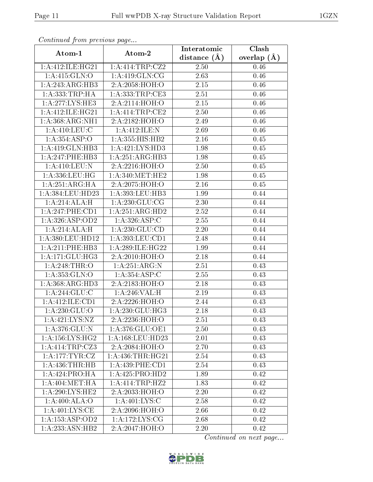| сонинией јтоні ртеvious раде<br>Clash<br>Interatomic |                                     |                  |                 |  |  |
|------------------------------------------------------|-------------------------------------|------------------|-----------------|--|--|
| Atom-1                                               | Atom-2                              | distance $(\AA)$ | overlap $(\AA)$ |  |  |
| 1: A:412: ILE: HG21                                  | 1: A: 414: TRP: CZ2                 | 2.50             | 0.46            |  |  |
| $1:$ A:415: $GLN:$ O                                 | 1: A:419: GLN:CG                    | 2.63             | 0.46            |  |  |
| 1:A:243:ARG:HB3                                      | 2:A:2058:HOH:O                      | 2.15             | 0.46            |  |  |
| 1:A:333:TRP:HA                                       | 1: A: 333: TRP: CE3                 | 2.51             | 0.46            |  |  |
| 1:A:277:LYS:HE3                                      | 2:A:2114:HOH:O                      | 2.15             | 0.46            |  |  |
| 1:A:412:ILE:HG21                                     | 1:A:414:TRP:CE2                     | 2.50             | 0.46            |  |  |
| 1:A:368:ARG:NH1                                      | 2:A:2182:HOH:O                      | 2.49             | 0.46            |  |  |
| 1: A:410: LEU: C                                     | 1:A:412:ILE:N                       | 2.69             | 0.46            |  |  |
| 1: A: 354: ASP:O                                     | 1:A:355:HIS:HB2                     | 2.16             | 0.45            |  |  |
| 1:A:419:GLN:HB3                                      | 1:A:421:LYS:HD3                     | 1.98             | 0.45            |  |  |
| 1: A:247:PHE:HB3                                     | 1:A:251:ARG:HB3                     | 1.98             | 0.45            |  |  |
| 1:A:410:LEU:N                                        | 2:A:2216:HOH:O                      | 2.50             | 0.45            |  |  |
| $1: A: 336:$ LEU:HG                                  | 1: A:340:MET:HE2                    | 1.98             | 0.45            |  |  |
| $1:A:251:\overline{\text{ARG:H}\text{A}}$            | 2:A:2075:HOH:O                      | 2.16             | 0.45            |  |  |
| 1:A:384:LEU:HD23                                     | 1:A:393:LEU:HB3                     | 1.99             | 0.44            |  |  |
| 1:A:214:ALA:H                                        | 1: A:230: GLU:CG                    | 2.30             | 0.44            |  |  |
| 1:A:247:PHE:CD1                                      | 1:A:251:ARG:HD2                     | 2.52             | 0.44            |  |  |
| 1: A:326: ASP:OD2                                    | 1:A:326:ASP:C                       | 2.55             | 0.44            |  |  |
| 1:A:214:ALA:H                                        | 1: A: 230: GLU: CD                  | 2.20             | 0.44            |  |  |
| 1:A:380:LEU:HD12                                     | 1: A: 393: LEU: CD1                 | 2.48             | 0.44            |  |  |
| 1: A:211:PHE:HB3                                     | 1:A:289:ILE:HG22                    | 1.99             | 0.44            |  |  |
| 1: A:171: GLU:HG3                                    | 2:A:2010:HOH:O                      | 2.18             | 0.44            |  |  |
| 1: A:248:THR:O                                       | 1:A:251:ARG:N                       | 2.51             | 0.43            |  |  |
| 1: A: 353: GLN:O                                     | 1:A:354:ASP:C                       | 2.55             | 0.43            |  |  |
| 1: A: 368: ARG: HD3                                  | 2:A:2183:HOH:O                      | 2.18             | 0.43            |  |  |
| 1: A:244: GLU:C                                      | 1:A:246:VAL:H                       | 2.19             | 0.43            |  |  |
| 1:A:412:ILE:CD1                                      | 2:A:2226:HOH:O                      | 2.44             | 0.43            |  |  |
| 1:A:230:GLU:O                                        | 1:A:230:GLU:HG3                     | 2.18             | 0.43            |  |  |
| 1:A:421:LYS:NZ                                       | 2:A:2236:HOH:O                      | 2.51             | 0.43            |  |  |
| 1: A:376: GLU:N                                      | $1: A:376: GLU: \overline{OE1}$     | 2.50             | 0.43            |  |  |
| 1: A: 156: LYS: HG2                                  | 1: A: 168: LEU: HD23                | 2.01             | 0.43            |  |  |
| 1:A:414:TRP:CZ3                                      | 2:A:2084:HOH:O                      | 2.70             | 0.43            |  |  |
| 1: A:177: TYR: CZ                                    | 1: A: 436: THR: HG21                | 2.54             | 0.43            |  |  |
| 1: A:436:THR:HB                                      | $1: A:439:$ PHE:CD1                 | 2.54             | 0.43            |  |  |
| 1:A:424:PRO:HA                                       | 1:A:425:PRO:HD2                     | 1.89             | 0.42            |  |  |
| 1: A:404:MET:HA                                      | 1: A: 414: TRP: HZ2                 | 1.83             | 0.42            |  |  |
| 1: A:290: LYS: HE2                                   | 2:A:2033:HOH:O                      | 2.20             | 0.42            |  |  |
| 1: A:400:ALA:O                                       | 1: A: 401: LYS: C                   | 2.58             | 0.42            |  |  |
| 1: A:401:LYS:CE                                      | 2:A:2096:HOH:O                      | 2.66             | 0.42            |  |  |
| 1:A:153:ASP:OD2                                      | $1: A:172:\overline{\text{LYS:CG}}$ | 2.68             | 0.42            |  |  |
| 1: A: 233: ASN: HB2                                  | 2:A:2047:HOH:O                      | 2.20             | 0.42            |  |  |

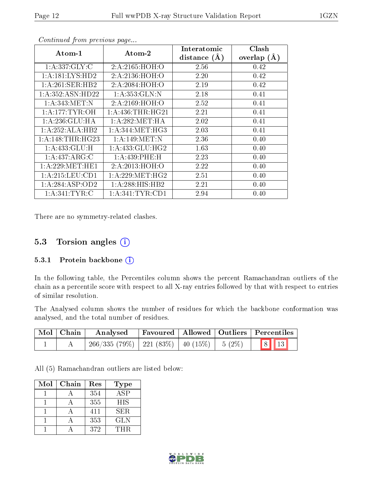| Atom-1             | $Atom-2$          | Interatomic    | Clash         |
|--------------------|-------------------|----------------|---------------|
|                    |                   | distance $(A)$ | overlap $(A)$ |
| 1: A: 337: GLY: C  | 2:A:2165:HOH:O    | 2.56           | 0.42          |
| 1:A:181:LYS:HD2    | 2:A:2136:HOH:O    | 2.20           | 0.42          |
| 1: A:261:SER:HB2   | 2:A:2084:HOH:O    | 2.19           | 0.42          |
| 1: A:352: ASN:HD22 | 1: A: 353: GLN:N  | 2.18           | 0.41          |
| 1: A:343:MET:N     | 2:A:2169:HOH:O    | 2.52           | 0.41          |
| 1: A:177: TYR:OH   | 1: A:436:THR:HG21 | 2.21           | 0.41          |
| 1:A:236:GLU:HA     | 1: A:282: MET:HA  | 2.02           | 0.41          |
| 1:A:252:ALA:HB2    | 1: A:344: MET:HG3 | 2.03           | 0.41          |
| 1: A:148:THR:HG23  | 1: A:149:MET:N    | 2.36           | 0.40          |
| 1:A:433:GLU:H      | 1:A:433:GLU:HG2   | 1.63           | 0.40          |
| 1: A:437: ARG: C   | 1:A:439:PHE:H     | 2.23           | 0.40          |
| 1: A:229: MET:HE1  | 2:A:2013:HOH:O    | 2.22           | 0.40          |
| 1: A:215: LEU: CD1 | 1: A:229: MET:HG2 | 2.51           | 0.40          |
| 1:A:284:ASP:OD2    | 1:A:288:HIS:HB2   | 2.21           | 0.40          |
| 1: A:341:TYR:C     | 1: A:341:TYR:CD1  | 2.94           | 0.40          |

There are no symmetry-related clashes.

### 5.3 Torsion angles (i)

#### 5.3.1 Protein backbone (i)

In the following table, the Percentiles column shows the percent Ramachandran outliers of the chain as a percentile score with respect to all X-ray entries followed by that with respect to entries of similar resolution.

The Analysed column shows the number of residues for which the backbone conformation was analysed, and the total number of residues.

| $\mid$ Mol $\mid$ Chain $\mid$ | Analysed                                      |  | Favoured   Allowed   Outliers   Percentiles |
|--------------------------------|-----------------------------------------------|--|---------------------------------------------|
|                                | $266/335(79\%)$ 221 (83%) 40 (15%) 5 (2%) 8 3 |  |                                             |

All (5) Ramachandran outliers are listed below:

| Mol | Chain | Res | <b>Type</b> |
|-----|-------|-----|-------------|
|     |       | 354 | ASP         |
|     |       | 355 | <b>HIS</b>  |
|     |       | 411 | SER.        |
|     |       | 353 | <b>GLN</b>  |
|     |       | 372 | THR         |

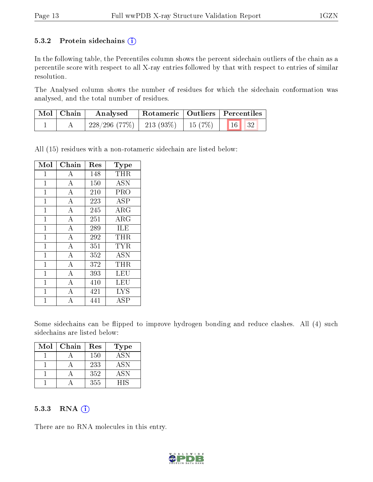#### 5.3.2 Protein sidechains  $(i)$

In the following table, the Percentiles column shows the percent sidechain outliers of the chain as a percentile score with respect to all X-ray entries followed by that with respect to entries of similar resolution.

The Analysed column shows the number of residues for which the sidechain conformation was analysed, and the total number of residues.

| $\mid$ Mol $\mid$ Chain | Analysed                                 |  | Rotameric   Outliers   Percentiles                                            |
|-------------------------|------------------------------------------|--|-------------------------------------------------------------------------------|
|                         | $228/296$ (77\%)   213 (93\%)   15 (7\%) |  | $\begin{array}{ c c c c c c c c c } \hline \text{16} & \text{32} \end{array}$ |

All (15) residues with a non-rotameric sidechain are listed below:

| Mol          | Chain              | Res | Type             |
|--------------|--------------------|-----|------------------|
| $\mathbf{1}$ | А                  | 148 | <b>THR</b>       |
| $\mathbf{1}$ | $\overline{\rm A}$ | 150 | $\overline{ASN}$ |
| $\mathbf{1}$ | $\overline{A}$     | 210 | PRO              |
| $\mathbf 1$  | $\bf{A}$           | 223 | <b>ASP</b>       |
| $\mathbf{1}$ | $\overline{\rm A}$ | 245 | $\rm{ARG}$       |
| $\mathbf{1}$ | $\overline{\rm A}$ | 251 | ARG              |
| $\mathbf{1}$ | $\overline{\rm A}$ | 289 | ILE              |
| $\mathbf 1$  | $\overline{A}$     | 292 | THR              |
| $\mathbf{1}$ | $\overline{A}$     | 351 | <b>TYR</b>       |
| $\mathbf{1}$ | $\overline{A}$     | 352 | <b>ASN</b>       |
| $\mathbf{1}$ | $\overline{A}$     | 372 | <b>THR</b>       |
| $\mathbf{1}$ | $\overline{\rm A}$ | 393 | LEU              |
| $\mathbf{1}$ | $\boldsymbol{A}$   | 410 | LEU              |
| $\mathbf 1$  | $\bar{\text{A}}$   | 421 | <b>LYS</b>       |
| 1            | А                  | 441 | ASP              |

Some sidechains can be flipped to improve hydrogen bonding and reduce clashes. All (4) such sidechains are listed below:

| Mol | Chain | Res | <b>Type</b> |
|-----|-------|-----|-------------|
|     |       | 150 | ASN         |
|     |       | 233 | ASN         |
|     |       | 352 | ASN         |
|     |       | 355 | <b>HIS</b>  |

#### 5.3.3 RNA (i)

There are no RNA molecules in this entry.

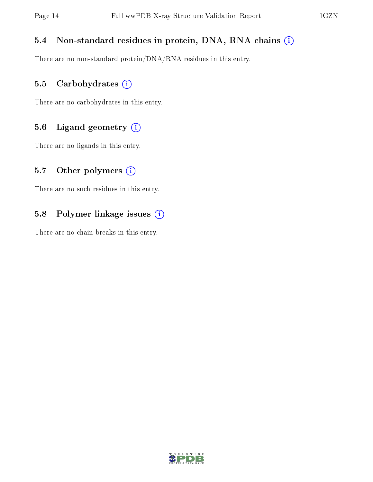### 5.4 Non-standard residues in protein, DNA, RNA chains (i)

There are no non-standard protein/DNA/RNA residues in this entry.

#### 5.5 Carbohydrates (i)

There are no carbohydrates in this entry.

### 5.6 Ligand geometry (i)

There are no ligands in this entry.

#### 5.7 [O](https://www.wwpdb.org/validation/2017/XrayValidationReportHelp#nonstandard_residues_and_ligands)ther polymers  $(i)$

There are no such residues in this entry.

### 5.8 Polymer linkage issues (i)

There are no chain breaks in this entry.

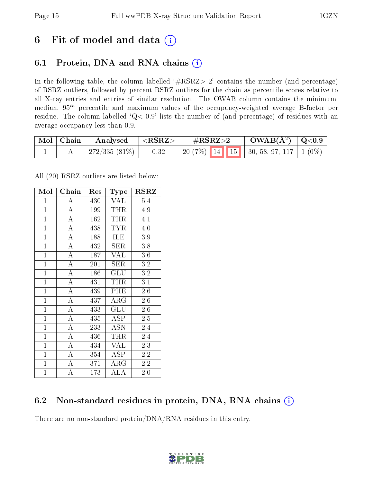## 6 Fit of model and data  $(i)$

## 6.1 Protein, DNA and RNA chains  $(i)$

In the following table, the column labelled  $#RSRZ> 2'$  contains the number (and percentage) of RSRZ outliers, followed by percent RSRZ outliers for the chain as percentile scores relative to all X-ray entries and entries of similar resolution. The OWAB column contains the minimum, median,  $95<sup>th</sup>$  percentile and maximum values of the occupancy-weighted average B-factor per residue. The column labelled ' $Q< 0.9$ ' lists the number of (and percentage) of residues with an average occupancy less than 0.9.

| Mol   Chain | Analysed                  | $\mid$ <rsrz> .</rsrz> | $\#\text{RSRZ}\text{>2}$                     | $\rm OWAB(\AA^2)$   Q<0.9 |  |
|-------------|---------------------------|------------------------|----------------------------------------------|---------------------------|--|
|             | $\pm 272/335$ (81%) $\pm$ | 0.32                   | 20 (7%)   14   15   30, 58, 97, 117   1 (0%) |                           |  |

All (20) RSRZ outliers are listed below:

| Mol            | Chain              | Res | Type       | RSRZ |
|----------------|--------------------|-----|------------|------|
| $\mathbf{1}$   | А                  | 430 | VAL        | 5.4  |
| $\overline{1}$ | $\overline{A}$     | 199 | THR        | 4.9  |
| $\mathbf{1}$   | $\overline{\rm A}$ | 162 | THR        | 4.1  |
| $\mathbf{1}$   | $\bf{A}$           | 438 | <b>TYR</b> | 4.0  |
| $\mathbf{1}$   | $\overline{\rm A}$ | 188 | ILE        | 3.9  |
| $\mathbf{1}$   | $\boldsymbol{A}$   | 432 | SER        | 3.8  |
| $\mathbf{1}$   | $\bf{A}$           | 187 | VAL        | 3.6  |
| $\overline{1}$ | $\overline{A}$     | 201 | SER        | 3.2  |
| $\mathbf{1}$   | $\overline{A}$     | 186 | GLU        | 3.2  |
| $\mathbf{1}$   | $\overline{A}$     | 431 | THR        | 3.1  |
| $\mathbf{1}$   | $\overline{\rm A}$ | 439 | PHE        | 2.6  |
| $\mathbf{1}$   | $\overline{\rm A}$ | 437 | $\rm{ARG}$ | 2.6  |
| $\overline{1}$ | $\overline{A}$     | 433 | GLU        | 2.6  |
| $\mathbf{1}$   | $\bf{A}$           | 435 | <b>ASP</b> | 2.5  |
| $\mathbf{1}$   | $\overline{\rm A}$ | 233 | <b>ASN</b> | 2.4  |
| $\mathbf{1}$   | $\bf{A}$           | 436 | THR        | 2.4  |
| $\overline{1}$ | $\overline{\rm A}$ | 434 | VAL        | 2.3  |
| $\mathbf{1}$   | $\boldsymbol{A}$   | 354 | <b>ASP</b> | 2.2  |
| $\mathbf{1}$   | $\bf{A}$           | 371 | $\rm{ARG}$ | 2.2  |
| $\mathbf{1}$   | A                  | 173 | ALA        | 2.0  |

## 6.2 Non-standard residues in protein, DNA, RNA chains (i)

There are no non-standard protein/DNA/RNA residues in this entry.